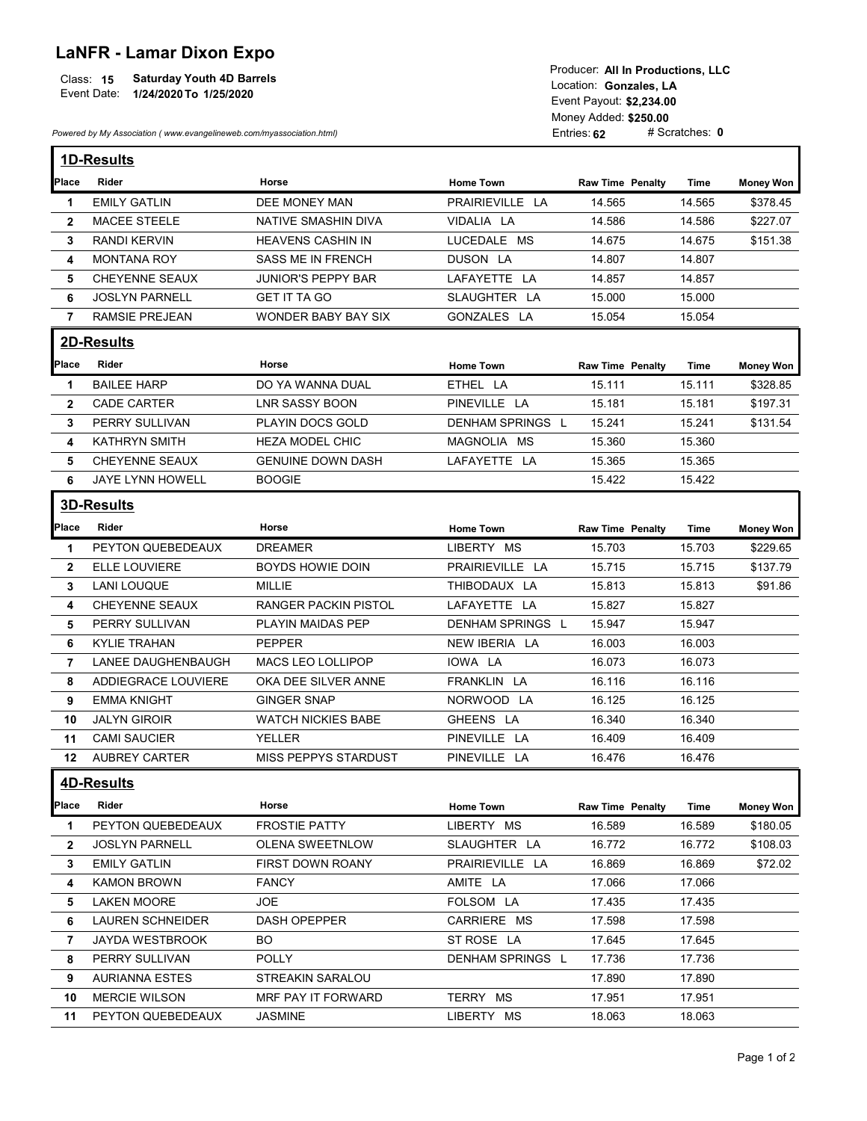## LaNFR - Lamar Dixon Expo

| $ \cdots$ $\cdots$ $ \cdots$ $\cdots$ $\cdots$ $\cdots$ $\cdots$ $\cdots$ |                                                |
|---------------------------------------------------------------------------|------------------------------------------------|
|                                                                           | Producer: All In Productions, LLC              |
| <b>Saturday Youth 4D Barrels</b><br>Class: 15<br>Event Date:              | Location: Gonzales. LA                         |
| 1/24/2020 To 1/25/2020                                                    | Event Payout: \$2,234.00                       |
|                                                                           | Money Added: \$250.00                          |
| Powered by My Association (www.evangelineweb.com/myassociation.html)      | # Scratches: $\boldsymbol{0}$<br>Entries: $62$ |

| <b>LaNFR - Lamar Dixon Expo</b><br><b>Saturday Youth 4D Barrels</b><br>Class: 15<br>Event Date:<br>1/24/2020 To 1/25/2020 |                                                                      | Producer: All In Productions, LLC<br>Location: Gonzales, LA<br>Event Payout: \$2,234.00 |                       |                         |                  |                  |
|---------------------------------------------------------------------------------------------------------------------------|----------------------------------------------------------------------|-----------------------------------------------------------------------------------------|-----------------------|-------------------------|------------------|------------------|
|                                                                                                                           |                                                                      |                                                                                         | Money Added: \$250.00 |                         |                  |                  |
|                                                                                                                           | Powered by My Association (www.evangelineweb.com/myassociation.html) |                                                                                         |                       | Entries: 62             | # Scratches: 0   |                  |
|                                                                                                                           | <b>1D-Results</b>                                                    |                                                                                         |                       |                         |                  |                  |
| Place                                                                                                                     | Rider                                                                | Horse                                                                                   | <b>Home Town</b>      | <b>Raw Time Penalty</b> | Time             | <b>Money Won</b> |
| -1                                                                                                                        | <b>EMILY GATLIN</b>                                                  | DEE MONEY MAN                                                                           | PRAIRIEVILLE LA       | 14.565                  | 14.565           | \$378.45         |
| $\mathbf{2}$                                                                                                              | <b>MACEE STEELE</b>                                                  | NATIVE SMASHIN DIVA                                                                     | VIDALIA LA            | 14.586                  | 14.586           | \$227.07         |
| 3                                                                                                                         | <b>RANDI KERVIN</b>                                                  | <b>HEAVENS CASHIN IN</b>                                                                | LUCEDALE MS           | 14.675                  | 14.675           | \$151.38         |
| 4                                                                                                                         | <b>MONTANA ROY</b>                                                   | SASS ME IN FRENCH                                                                       | DUSON LA              | 14.807                  | 14.807           |                  |
| 5                                                                                                                         | CHEYENNE SEAUX                                                       | <b>JUNIOR'S PEPPY BAR</b>                                                               | LAFAYETTE LA          | 14.857                  | 14.857           |                  |
| 6                                                                                                                         | <b>JOSLYN PARNELL</b>                                                | <b>GET IT TA GO</b>                                                                     | SLAUGHTER LA          | 15.000                  | 15.000           |                  |
| $\overline{7}$                                                                                                            | <b>RAMSIE PREJEAN</b>                                                | WONDER BABY BAY SIX                                                                     | GONZALES LA           | 15.054                  | 15.054           |                  |
|                                                                                                                           | 2D-Results                                                           |                                                                                         |                       |                         |                  |                  |
| <b>Place</b>                                                                                                              | Rider                                                                | Horse                                                                                   | <b>Home Town</b>      | <b>Raw Time Penalty</b> | Time             | <b>Money Won</b> |
| -1                                                                                                                        | <b>BAILEE HARP</b>                                                   | DO YA WANNA DUAL                                                                        | ETHEL LA              | 15.111                  | 15.111           | \$328.85         |
| $\mathbf{2}$                                                                                                              | <b>CADE CARTER</b>                                                   | <b>LNR SASSY BOON</b>                                                                   | PINEVILLE LA          | 15.181                  | 15.181           | \$197.31         |
| 3                                                                                                                         | PERRY SULLIVAN                                                       | PLAYIN DOCS GOLD                                                                        | DENHAM SPRINGS L      | 15.241                  | 15.241           | \$131.54         |
| 4                                                                                                                         | KATHRYN SMITH                                                        | HEZA MODEL CHIC                                                                         | MAGNOLIA MS           | 15.360                  | 15.360           |                  |
| 5                                                                                                                         | <b>CHEYENNE SEAUX</b>                                                | <b>GENUINE DOWN DASH</b>                                                                | LAFAYETTE LA          | 15.365                  | 15.365           |                  |
| 6                                                                                                                         | JAYE LYNN HOWELL                                                     | <b>BOOGIE</b>                                                                           |                       | 15.422                  | 15.422           |                  |
|                                                                                                                           | <b>3D-Results</b>                                                    |                                                                                         |                       |                         |                  |                  |
|                                                                                                                           |                                                                      |                                                                                         |                       |                         |                  |                  |
| <b>Place</b>                                                                                                              | Rider                                                                | Horse                                                                                   | Home Town             | <b>Raw Time Penalty</b> | Time             | <b>Money Won</b> |
| $\mathbf{1}$                                                                                                              | PEYTON QUEBEDEAUX                                                    | <b>DREAMER</b>                                                                          | LIBERTY MS            | 15.703                  | 15.703           | \$229.65         |
| $\mathbf{2}$                                                                                                              | ELLE LOUVIERE                                                        | BOYDS HOWIE DOIN                                                                        | PRAIRIEVILLE LA       | 15.715                  | 15.715           | \$137.79         |
| 3                                                                                                                         | LANI LOUQUE                                                          | MILLIE                                                                                  | THIBODAUX LA          | 15.813                  | 15.813           | \$91.86          |
| 4                                                                                                                         | CHEYENNE SEAUX                                                       | <b>RANGER PACKIN PISTOL</b>                                                             | LAFAYETTE LA          | 15.827                  | 15.827           |                  |
| 5                                                                                                                         | PERRY SULLIVAN                                                       | PLAYIN MAIDAS PEP                                                                       | DENHAM SPRINGS L      | 15.947                  | 15.947           |                  |
| 6                                                                                                                         | KYLIE TRAHAN                                                         | <b>PEPPER</b>                                                                           | NEW IBERIA LA         | 16.003                  | 16.003           |                  |
| 7                                                                                                                         | LANEE DAUGHENBAUGH                                                   | MACS LEO LOLLIPOP                                                                       | IOWA LA               | 16.073                  | 16.073           |                  |
| 8                                                                                                                         | ADDIEGRACE LOUVIERE                                                  | OKA DEE SILVER ANNE                                                                     | FRANKLIN LA           | 16.116                  | 16.116           |                  |
| 9                                                                                                                         | <b>EMMA KNIGHT</b>                                                   | <b>GINGER SNAP</b>                                                                      | NORWOOD LA            | 16.125                  | 16.125           |                  |
| 10                                                                                                                        | <b>JALYN GIROIR</b>                                                  | <b>WATCH NICKIES BABE</b>                                                               | GHEENS LA             | 16.340                  | 16.340           |                  |
| 11                                                                                                                        | <b>CAMI SAUCIER</b>                                                  | YELLER                                                                                  | PINEVILLE LA          | 16.409                  | 16.409           |                  |
|                                                                                                                           | 12 AUBREY CARTER                                                     | MISS PEPPYS STARDUST                                                                    | PINEVILLE LA          | 16.476                  | 16.476           |                  |
|                                                                                                                           | <b>4D-Results</b>                                                    |                                                                                         |                       |                         |                  |                  |
| <b>Place</b>                                                                                                              | Rider                                                                | Horse                                                                                   | Home Town             | <b>Raw Time Penalty</b> | Time             | <b>Money Won</b> |
| $\mathbf 1$                                                                                                               | PEYTON QUEBEDEAUX                                                    | <b>FROSTIE PATTY</b>                                                                    | LIBERTY MS            | 16.589                  | 16.589           | \$180.05         |
| $\mathbf{2}$                                                                                                              | <b>JOSLYN PARNELL</b>                                                | OLENA SWEETNLOW                                                                         | SLAUGHTER LA          | 16.772                  | 16.772           | \$108.03         |
|                                                                                                                           | <b>EMILY GATLIN</b>                                                  | FIRST DOWN ROANY                                                                        | PRAIRIEVILLE LA       | 16.869                  | 16.869           | \$72.02          |
|                                                                                                                           |                                                                      | <b>FANCY</b>                                                                            | AMITE LA              | 17.066                  | 17.066           |                  |
| 3                                                                                                                         |                                                                      |                                                                                         |                       |                         |                  |                  |
| 4                                                                                                                         | <b>KAMON BROWN</b>                                                   |                                                                                         |                       |                         |                  |                  |
| 5                                                                                                                         | <b>LAKEN MOORE</b>                                                   | JOE                                                                                     | FOLSOM LA             | 17.435                  | 17.435           |                  |
| 6                                                                                                                         | <b>LAUREN SCHNEIDER</b>                                              | DASH OPEPPER                                                                            | CARRIERE MS           | 17.598                  | 17.598           |                  |
| 7                                                                                                                         | JAYDA WESTBROOK                                                      | BO                                                                                      | ST ROSE LA            | 17.645                  | 17.645           |                  |
| 8                                                                                                                         | PERRY SULLIVAN                                                       | <b>POLLY</b>                                                                            | DENHAM SPRINGS L      | 17.736                  | 17.736           |                  |
| 9<br>10                                                                                                                   | <b>AURIANNA ESTES</b><br><b>MERCIE WILSON</b>                        | STREAKIN SARALOU<br>MRF PAY IT FORWARD                                                  | TERRY MS              | 17.890<br>17.951        | 17.890<br>17.951 |                  |

11 PEYTON QUEBEDEAUX JASMINE LIBERTY MS 18.063 18.063